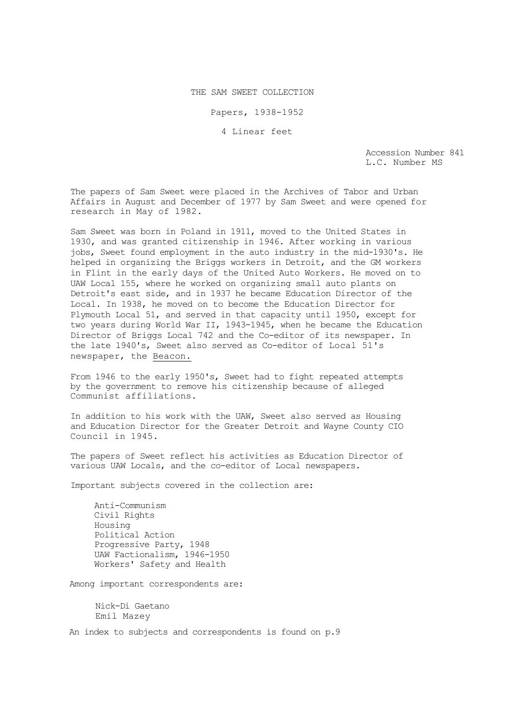THE SAM SWEET COLLECTION

Papers, 1938-1952

4 Linear feet

Accession Number 841 L.C. Number MS

The papers of Sam Sweet were placed in the Archives of Tabor and Urban Affairs in August and December of 1977 by Sam Sweet and were opened for research in May of 1982.

Sam Sweet was born in Poland in 1911, moved to the United States in 1930, and was granted citizenship in 1946. After working in various jobs, Sweet found employment in the auto industry in the mid-1930's. He helped in organizing the Briggs workers in Detroit, and the GM workers in Flint in the early days of the United Auto Workers. He moved on to UAW Local 155, where he worked on organizing small auto plants on Detroit's east side, and in 1937 he became Education Director of the Local. In 1938, he moved on to become the Education Director for Plymouth Local 51, and served in that capacity until 1950, except for two years during World War II, 1943-1945, when he became the Education Director of Briggs Local 742 and the Co-editor of its newspaper. In the late 1940's, Sweet also served as Co-editor of Local 51's newspaper, the Beacon.

From 1946 to the early 1950's, Sweet had to fight repeated attempts by the government to remove his citizenship because of alleged Communist affiliations.

In addition to his work with the UAW, Sweet also served as Housing and Education Director for the Greater Detroit and Wayne County CIO Council in 1945.

The papers of Sweet reflect his activities as Education Director of various UAW Locals, and the co-editor of Local newspapers.

Important subjects covered in the collection are:

Anti-Communism Civil Rights Housing Political Action Progressive Party, 1948 UAW Factionalism, 1946-1950 Workers' Safety and Health

Among important correspondents are:

Nick-Di Gaetano Emil Mazey

An index to subjects and correspondents is found on p.9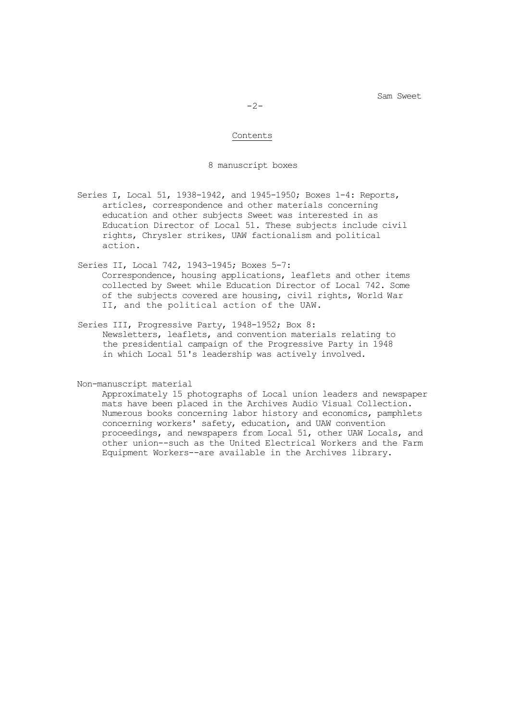$-2-$ 

#### Contents

#### 8 manuscript boxes

- Series I, Local 51, 1938-1942, and 1945-1950; Boxes 1-4: Reports, articles, correspondence and other materials concerning education and other subjects Sweet was interested in as Education Director of Local 51. These subjects include civil rights, Chrysler strikes, UAW factionalism and political action.
- Series II, Local 742, 1943-1945; Boxes 5-7: Correspondence, housing applications, leaflets and other items collected by Sweet while Education Director of Local 742. Some of the subjects covered are housing, civil rights, World War II, and the political action of the UAW.
- Series III, Progressive Party, 1948-1952; Box 8: Newsletters, leaflets, and convention materials relating to the presidential campaign of the Progressive Party in 1948 in which Local 51's leadership was actively involved.

Non-manuscript material

Approximately 15 photographs of Local union leaders and newspaper mats have been placed in the Archives Audio Visual Collection. Numerous books concerning labor history and economics, pamphlets concerning workers' safety, education, and UAW convention proceedings, and newspapers from Local 51, other UAW Locals, and other union--such as the United Electrical Workers and the Farm Equipment Workers--are available in the Archives library.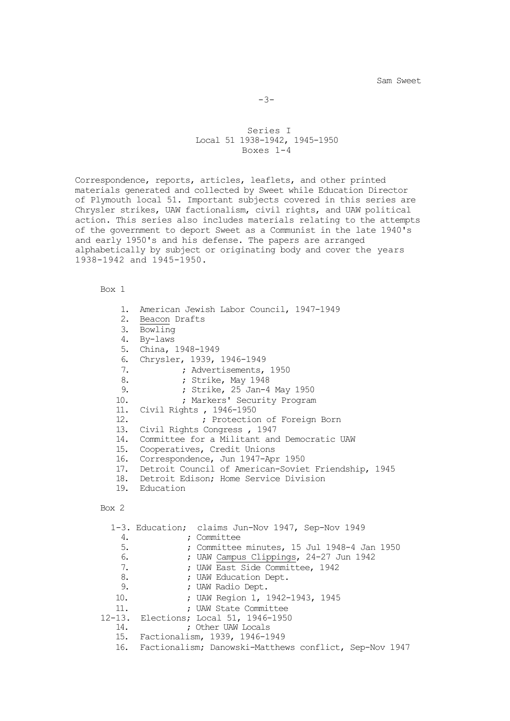```
-3-
```
### Series I Local 51 1938-1942, 1945-1950 Boxes 1-4

Correspondence, reports, articles, leaflets, and other printed materials generated and collected by Sweet while Education Director of Plymouth local 51. Important subjects covered in this series are Chrysler strikes, UAW factionalism, civil rights, and UAW political action. This series also includes materials relating to the attempts of the government to deport Sweet as a Communist in the late 1940's and early 1950's and his defense. The papers are arranged alphabetically by subject or originating body and cover the years 1938-1942 and 1945-1950.

Box 1

| 1.<br>4.<br>6.<br>7.<br>8.<br>9. | 2. Beacon Drafts<br>3. Bowling<br>By-laws<br>5. China, 1948-1949 | American Jewish Labor Council, 1947-1949<br>Chrysler, 1939, 1946-1949<br>; Advertisements, 1950<br>; Strike, May 1948<br>; Strike, 25 Jan-4 May 1950 |
|----------------------------------|------------------------------------------------------------------|------------------------------------------------------------------------------------------------------------------------------------------------------|
| 10.                              |                                                                  | ; Markers' Security Program                                                                                                                          |
| 11.<br>12.                       |                                                                  | Civil Rights, 1946-1950                                                                                                                              |
| 13.                              |                                                                  | ; Protection of Foreign Born<br>Civil Rights Congress, 1947                                                                                          |
|                                  |                                                                  | 14. Committee for a Militant and Democratic UAW                                                                                                      |
|                                  |                                                                  | 15. Cooperatives, Credit Unions                                                                                                                      |
| 16.                              |                                                                  | Correspondence, Jun 1947-Apr 1950                                                                                                                    |
| 17.                              |                                                                  | Detroit Council of American-Soviet Friendship, 1945                                                                                                  |
|                                  |                                                                  | 18. Detroit Edison; Home Service Division                                                                                                            |
|                                  | 19. Education                                                    |                                                                                                                                                      |
| Box 2                            |                                                                  |                                                                                                                                                      |
|                                  |                                                                  | 1-3. Education; claims Jun-Nov 1947, Sep-Nov 1949                                                                                                    |
| 4.                               |                                                                  | : Committee                                                                                                                                          |
| 5.<br>6.                         |                                                                  | ; Committee minutes, 15 Jul 1948-4 Jan 1950                                                                                                          |
| 7.                               |                                                                  | ; UAW Campus Clippings, 24-27 Jun 1942<br>; UAW East Side Committee, 1942                                                                            |
| 8.                               |                                                                  | ; UAW Education Dept.                                                                                                                                |
| 9.                               |                                                                  | ; UAW Radio Dept.                                                                                                                                    |
| 10.                              |                                                                  | ; UAW Region 1, 1942-1943, 1945                                                                                                                      |
| 11.                              |                                                                  | ; UAW State Committee                                                                                                                                |
| 12-13.                           |                                                                  | Elections; Local 51, 1946-1950                                                                                                                       |

- 14. ; Other UAW Locals
	- 15. Factionalism, 1939, 1946-1949
	- 16. Factionalism; Danowski-Matthews conflict, Sep-Nov 1947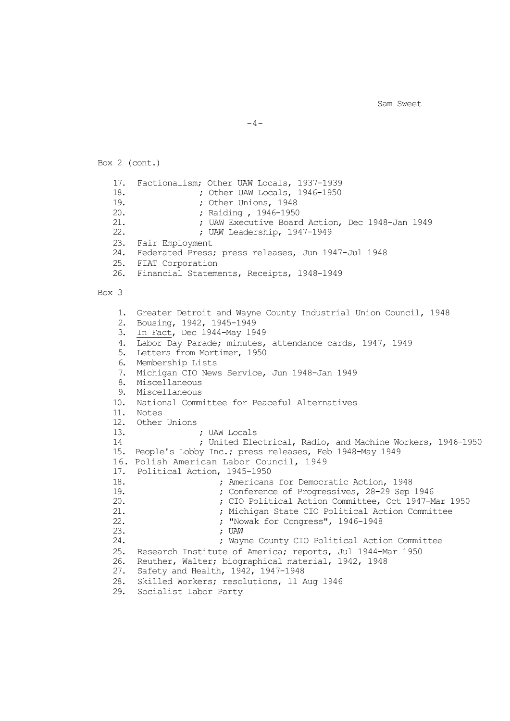$-4-$ 

Box 2 (cont.) 17. Factionalism; Other UAW Locals, 1937-1939<br>18. : Other UAW Locals, 1946-1950 18. <br>
19. ; Other Unions. 1948<br>
19. : Other Unions. 1948 19. ; Other Unions, 1948<br>20. : Raiding , 1946-1950 20. <br>
21. ; UAW Executive Board<br>
21. ; UAW Executive Board 21. (2008) ; UAW Executive Board Action, Dec 1948-Jan 1949<br>22. (2008) : UAW Leadership, 1947-1949 ; UAW Leadership, 1947-1949 23. Fair Employment 24. Federated Press; press releases, Jun 1947-Jul 1948 25. FIAT Corporation<br>26. Financial Stateme 26. Financial Statements, Receipts, 1948-1949 Box 3 1. Greater Detroit and Wayne County Industrial Union Council, 1948 2. Bousing, 1942, 1945-1949 3. In Fact, Dec 1944-May 1949 4. Labor Day Parade; minutes, attendance cards, 1947, 1949 5. Letters from Mortimer, 1950 6. Membership Lists 7. Michigan CIO News Service, Jun 1948-Jan 1949 8. Miscellaneous 9. Miscellaneous 10. National Committee for Peaceful Alternatives 11. Notes 12. Other Unions 13. ; UAW Locals ; United Electrical, Radio, and Machine Workers, 1946-1950 15. People's Lobby Inc.; press releases, Feb 1948-May 1949 16. Polish American Labor Council, 1949 17. Political Action, 1945-1950<br>18. ; Americans 18.  $\frac{1}{2}$  ; Americans for Democratic Action, 1948<br>19.  $\frac{1}{2}$  : Conference of Progressives, 28-29 Sep 19. ; Conference of Progressives, 28-29 Sep 1946 20. <br>
21. ; Michigan State CIO Political Action Committee 21.  $\qquad \qquad ;$  Michigan State CIO Political Action Committee<br>22.  $\qquad \qquad ;$  "Nowak for Congress", 1946-1948 22. ; "Nowak for Congress", 1946-1948 23. ; UAW ; Wayne County CIO Political Action Committee 25. Research Institute of America; reports, Jul 1944-Mar 1950<br>26. Reuther, Walter; biographical material, 1942, 1948 26. Reuther, Walter; biographical material, 1942, 1948<br>27. Safety and Health, 1942, 1947-1948 Safety and Health, 1942, 1947-1948 28. Skilled Workers; resolutions, 11 Aug 1946 29. Socialist Labor Party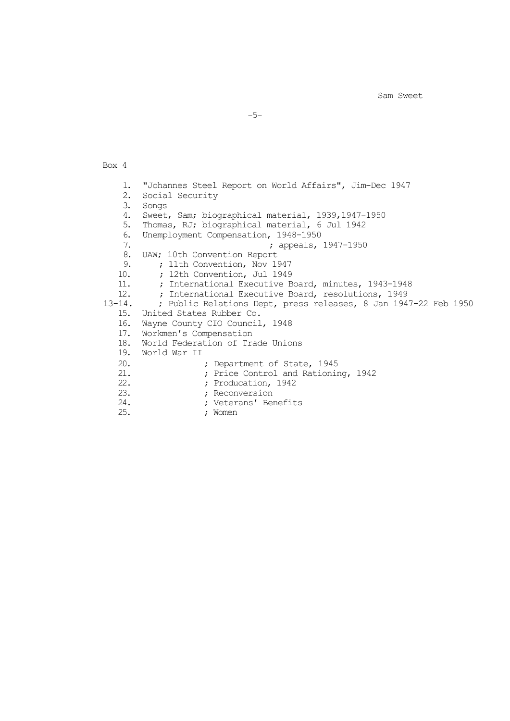-5-

Box 4 1. "Johannes Steel Report on World Affairs", Jim-Dec 1947<br>2. Social Security 2. Social Security<br>3. Songs 3. Songs<br>4. Sweet 4. Sweet, Sam; biographical material, 1939,1947-1950<br>5. Thomas, RJ; biographical material, 6 Jul 1942 5. Thomas, RJ; biographical material, 6 Jul 1942<br>6. Unemployment Compensation, 1948-1950 6. Unemployment Compensation, 1948-1950<br>7. propeals, ; appeals, 1947-1950 8. UAW; 10th Convention Report 9. ; 11th Convention, Nov 1947<br>10. ; 12th Convention, Jul 1949 10. **;** 12th Convention, Jul 1949<br>11. **;** International Executive B 11. ; International Executive Board, minutes, 1943-1948<br>12. ; International Executive Board, resolutions, 1949 12. ; International Executive Board, resolutions, 1949<br>13-14. ; Public Relations Dept, press releases, 8 Jan 194 13-14. ; Public Relations Dept, press releases, 8 Jan 1947-22 Feb 1950 15. United States Rubber Co. 16. Wayne County CIO Council, 1948 17. Workmen's Compensation 18. World Federation of Trade Unions 19. World War II 20. <br>
21. <br>
21. <br>
22. <br>
22. <br>
22. <br>
22. <br>
22. <br>
22. <br>
22. <br>
22. <br>
23. <br>
23. <br>
23. <br>
23. <br>
23. <br>
23. <br>
23. <br>
23. <br>
23. <br>
23. <br>
23. <br>
23. <br>
23. <br>
23. <br>
23. <br>
23. <br>
23. <br>
23. <br>
23. <br>
23. <br>
23. <br>
23. <br>
23. <br>
23. <br>
23. <br>
23. <br><br> 21. ; Price Control and Rationing, 1942 22. <br>
23. <br>
23. <br>
23. <br>
23. <br>
23. <br>
23. <br>
23. <br>
23. <br>
23. <br>
23. <br>
23. <br>
23. <br>
23. <br>
23. <br>
23. <br>
23. <br>
23. <br>
23. <br>
23. <br>
23. <br>
23. <br>
23. <br>
23. <br>
23. <br>
23. <br>
23. <br>
23. <br>
23. <br>
23. <br>
23. <br>
23. <br>
23. <br><br><br><br><br><br><br><br><br><br><br><br><br><br> 23. <br>
24. ; Reconversion<br>
24. ; Veterans' Ber 24. ; Veterans' Benefits<br>25. ; Women ; Women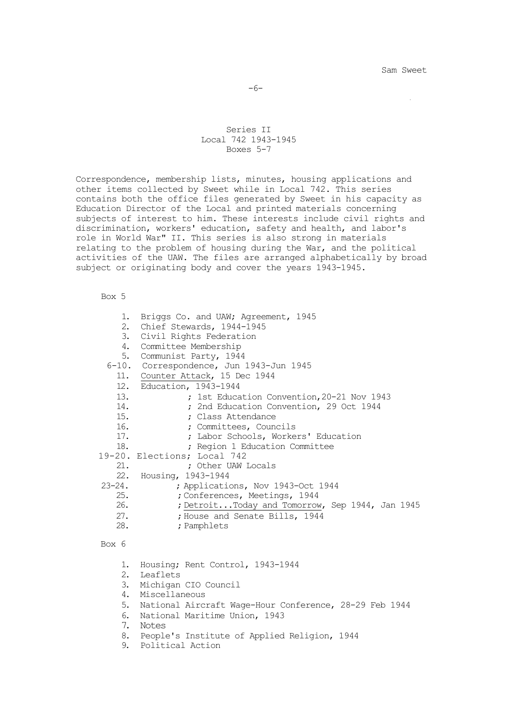-6-

### Series II Local 742 1943-1945 Boxes 5-7

Correspondence, membership lists, minutes, housing applications and other items collected by Sweet while in Local 742. This series contains both the office files generated by Sweet in his capacity as Education Director of the Local and printed materials concerning subjects of interest to him. These interests include civil rights and discrimination, workers' education, safety and health, and labor's role in World War" II. This series is also strong in materials relating to the problem of housing during the War, and the political activities of the UAW. The files are arranged alphabetically by broad subject or originating body and cover the years 1943-1945.

### Box 5

| 1.          | Briggs Co. and UAW; Agreement, 1945             |  |  |
|-------------|-------------------------------------------------|--|--|
| 2.          | Chief Stewards, 1944-1945                       |  |  |
|             | 3. Civil Rights Federation                      |  |  |
|             | 4. Committee Membership                         |  |  |
|             | 5. Communist Party, 1944                        |  |  |
|             | 6-10. Correspondence, Jun 1943-Jun 1945         |  |  |
|             | 11. Counter Attack, 15 Dec 1944                 |  |  |
|             | 12. Education, 1943-1944                        |  |  |
| 13.         | ; 1st Education Convention, 20-21 Nov 1943      |  |  |
| 14.         | ; 2nd Education Convention, 29 Oct 1944         |  |  |
| 15.         | ; Class Attendance                              |  |  |
| 16.         | ; Committees, Councils                          |  |  |
| 17.         | ; Labor Schools, Workers' Education             |  |  |
| 18.         | ; Region 1 Education Committee                  |  |  |
|             | 19-20. Elections; Local 742                     |  |  |
| 21.         | ; Other UAW Locals                              |  |  |
|             | 22. Housing, 1943-1944                          |  |  |
| $23 - 24$ . | ; Applications, Nov 1943-Oct 1944               |  |  |
| 25.         | ; Conferences, Meetings, 1944                   |  |  |
| 26.         | ; DetroitToday and Tomorrow, Sep 1944, Jan 1945 |  |  |
| 27.         | ; House and Senate Bills, 1944                  |  |  |
| 28.         | ; Pamphlets                                     |  |  |
|             |                                                 |  |  |

#### Box 6

- 1. Housing; Rent Control, 1943-1944
- 2. Leaflets
- 3. Michigan CIO Council
- 4. Miscellaneous
- 5. National Aircraft Wage-Hour Conference, 28-29 Feb 1944
- 6. National Maritime Union, 1943
- 7. Notes
- 8. People's Institute of Applied Religion, 1944
- 9. Political Action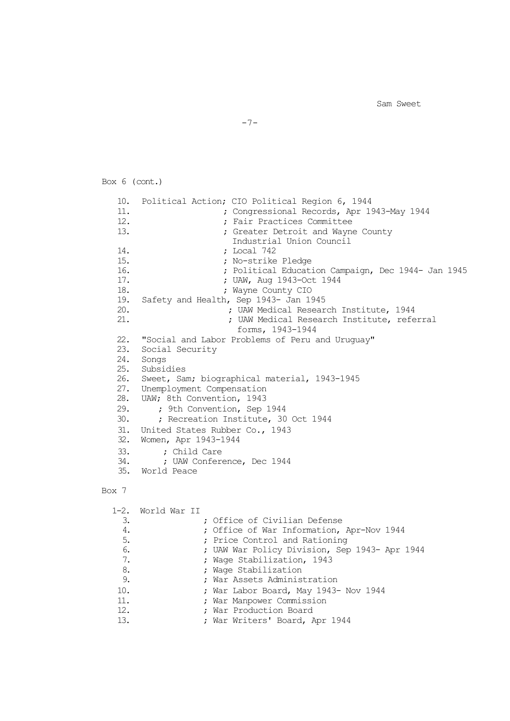```
Box 6 (cont.)
   10. Political Action; CIO Political Region 6, 1944
   11. (a) the congressional Records, Apr 1943-May 1944<br>12. Tair Practices Committee
   12. ; Fair Practices Committee
                        ; Greater Detroit and Wayne County
                          Industrial Union Council
   14. ; Local 742
   15. ; No-strike Pledge
   16. ; Political Education Campaign, Dec 1944- Jan 1945
   17. ; UAW, Aug 1943-Oct 1944
                         ; Wayne County CIO
   19. Safety and Health, Sep 1943- Jan 1945
   20. ; UAW Medical Research Institute, 1944
                          ; UAW Medical Research Institute, referral
                           forms, 1943-1944
   22. "Social and Labor Problems of Peru and Uruguay"
   23. Social Security
   24. Songs<br>25. Subsic
       Subsidies
   26. Sweet, Sam; biographical material, 1943-1945<br>27. Unemployment Compensation
   27. Unemployment Compensation<br>28. UAW; 8th Convention, 1943
   28. UAW; 8th Convention, 1943
   29. <br>30. ; Pecreation Institute, 30.
           30. ; Recreation Institute, 30 Oct 1944
   31. United States Rubber Co., 1943
   32. Women, Apr 1943-1944
   33. ; Child Care
   34. ; UAW Conference, Dec 1944<br>35. World Peace
       35. World Peace
```
-7-

### Box 7

1-2. World War II 3. ; Office of Civilian Defense 4. <br>  $\begin{array}{ccc} \text{4.} \\ \text{5.} \end{array}$  ; Office Oontrol and Rationing<br>  $\begin{array}{ccc} \text{5.} \\ \text{6.} \end{array}$ 5.  $\begin{array}{ccc} 5. & \cdot & \cdot & \cdot \\ 6. & \cdot & \cdot & \cdot \\ \end{array}$  Frice Control and Rationing<br>5.  $\begin{array}{ccc} 5. & \cdot & \cdot & \cdot \\ \cdot & \cdot & \cdot & \cdot \\ 5. & \cdot & \cdot & \cdot \\ \end{array}$ 6. ; UAW War Policy Division, Sep 1943- Apr 1944 7. ; Wage Stabilization, 1943 8. (a) 3. Example 9. (8) Page Stabilization<br>8. (8) Page Stabilization<br>8. (8) Page Stabilization 9. ; War Assets Administration 10. ; War Labor Board, May 1943- Nov 1944<br>11. ; War Manpower Commission 11. **In the Many Production Solution School**<br>12. **In the Many Production Board** 12. **; War Production Board**<br>13. **In the War Writers' Board, 2** ; War Writers' Board, Apr 1944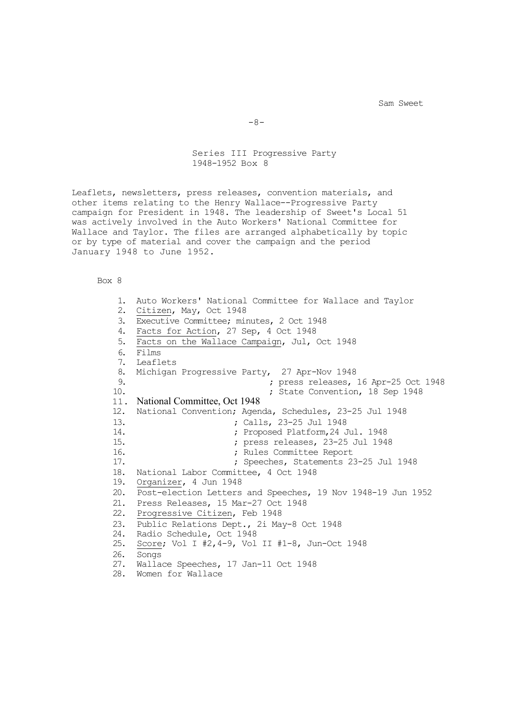Series III Progressive Party 1948-1952 Box 8

Leaflets, newsletters, press releases, convention materials, and other items relating to the Henry Wallace--Progressive Party campaign for President in 1948. The leadership of Sweet's Local 51 was actively involved in the Auto Workers' National Committee for Wallace and Taylor. The files are arranged alphabetically by topic or by type of material and cover the campaign and the period January 1948 to June 1952.

Box 8

1. Auto Workers' National Committee for Wallace and Taylor 2. Citizen, May, Oct 1948 3. Executive Committee; minutes, 2 Oct 1948 4. Facts for Action, 27 Sep, 4 Oct 1948 5. Facts on the Wallace Campaign, Jul, Oct 1948 6. Films 7. Leaflets 8. Michigan Progressive Party, 27 Apr-Nov 1948<br>9. press releases. 9. ; press releases, 16 Apr-25 Oct 1948 ; State Convention, 18 Sep 1948 11. National Committee, Oct 1948 12. National Convention; Agenda, Schedules, 23-25 Jul 1948<br>13. ; Calls, 23-25 Jul 1948 13. ; Calls, 23-25 Jul 1948 14. <br>
15. ; press releases. 23-25 Jul 1948<br>
15. ; press releases. 23-25 Jul 194 15. <br>
16. ; Rules Committee Report<br>
16. ; Rules Committee Report 16. (a) the committee Report (17. a) the committee Report (17. a) the contract of the contract of the contract of the contract of the contract of the contract of the contract of the contract of the contract of the contract 17. ; Speeches, Statements 23-25 Jul 1948 18. National Labor Committee, 4 Oct 1948 19. Organizer, 4 Jun 1948 20. Post-election Letters and Speeches, 19 Nov 1948-19 Jun 1952 21. Press Releases, 15 Mar-27 Oct 1948<br>22. Progressive Citizen, Feb 1948 Progressive Citizen, Feb 1948 23. Public Relations Dept., 2i May-8 Oct 1948 24. Radio Schedule, Oct 1948 25. Score; Vol I #2,4-9, Vol II #1-8, Jun-Oct 1948 26. Songs 27. Wallace Speeches, 17 Jan-11 Oct 1948 28. Women for Wallace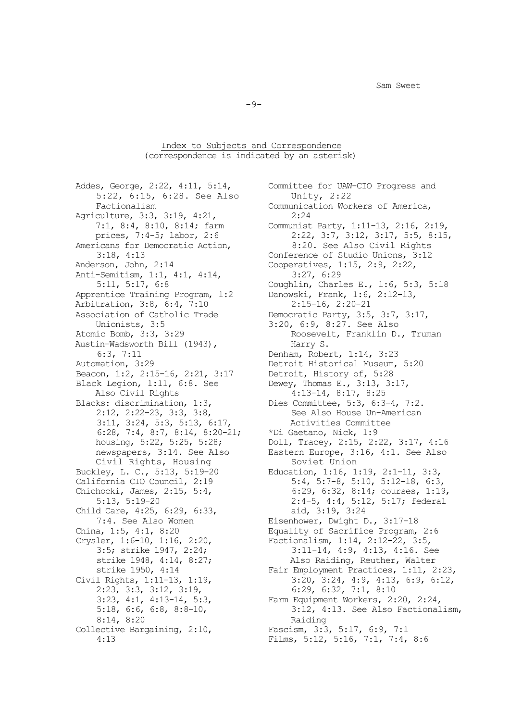$-9-$ 

Index to Subjects and Correspondence (correspondence is indicated by an asterisk)

5:22,  $6:15$ ,  $6:28$ . See Also<br>Factionalism Agriculture, 3:3, 3:19, 4:21,<br>7:1, 8:4, 8:10, 8:14; farm Anti-Semitism, 1:1, 4:1, 4:14,<br>5:11, 5:17, 6:8 Apprentice Training Program, 1:2 Danowski, Frank, 1:6, 2:20-21<br>Arbitration, 3:8, 6:4, 7:10 2:15-16, 2:20-21 Arbitration, 3:8, 6:4, 7:10<br>Association of Catholic Trade Unionists, 3:5 3:20, 6:9, 8:27. See Also<br>Atomic Bomb, 3:3, 3:29 3:20 Roosevelt, Franklin D. Austin-Wadsworth Bill (1943),  $6:3$ , 7:11 6:3, 7:11 Denham, Robert, 1:14, 3:23<br>Automation, 3:29 Detroit Historical Museum, Beacon, 1:2, 2:15-16, 2:21, 3:17 Detroit, History of, 5:28<br>Black Legion, 1:11, 6:8. See Dewey, Thomas E., 3:13, 3:17, Black Legion, 1:11, 6:8. See<br>Also Civil Rights Also Civil Rights 4:13-14, 8:17, 8:25<br>Blacks: discrimination, 1:3, Dies Committee, 5:3, 6:3 2:12, 2:22-23, 3:3, 3:8,<br>3:11, 3:24, 5:3, 5:13, 6:17, <br>Activities Committee 3:11, 3:24, 5:3, 5:13, 6:17, Activities Committee 6:28, 7:4, 8:7, 8:14, 8:20-21; \*Di Gaetano, Nick, 1:9 Civil Rights, Housing<br>Buckley, L. C., 5:13, 5:19-20 Child Care,  $4:25$ ,  $6:29$ ,  $6:33$ ,  $7:4$ . See Also Women 7:4. See Also Women Eisenhower, Dwight D., 3:17-18<br>China, 1:5, 4:1, 8:20 Equality of Sacrifice Program, 2:23, 3:3, 3:12, 3:19,<br>3:23, 4:1, 4:13-14, 5:3,<br>Farm Equipment Workers, 2: 8:14, 8:20 Raiding<br>Collective Bargaining, 2:10, Fascism, 3:3

Addes, George, 2:22, 4:11, 5:14, Committee for UAW-CIO Progress and 5:22, 6:15, 6:28. See Also Unity, 2:22 Communication Workers of America,  $2:24$ 7:1, 8:4, 8:10, 8:14; farm Communist Party, 1:11-13, 2:16, 2:19, prices, 7:4-5; labor, 2:6 2:22, 3:7, 3:12, 3:17, 5:5, 8:15,<br>Americans for Democratic Action, 8:20. See Also Civil Rights icans for Democratic Action, 8:20. See Also Civil Rights<br>3:18, 4:13 Conference of Studio Unions, 3:12 3:18, 4:13 Conference of Studio Unions, 3:12<br>Anderson, John, 2:14 Cooperatives, 1:15, 2:9, 2:22, Cooperatives, 1:15, 2:9, 2:22,<br>3:27, 6:29 Coughlin, Charles E., 1:6, 5:3, 5:18<br>Danowski, Frank, 1:6, 2:12-13, ociation of Catholic Trade Democratic Party, 3:5, 3:7, 3:17,<br>Unionists, 3:5 3:20, 6:9, 8:27. See Also Roosevelt, Franklin D., Truman<br>Harry S. Detroit Historical Museum, 5:20<br>Detroit, History of, 5:28 Dies Committee, 5:3, 6:3-4, 7:2.<br>See Also House Un-American housing, 5:22, 5:25, 5:28; Doll, Tracey, 2:15, 2:22, 3:17, 4:16<br>newspapers, 3:14. See Also Eastern Europe, 3:16, 4:1. See Also Eastern Europe, 3:16, 4:1. See Also<br>Soviet Union Buckley, L. C., 5:13, 5:19-20 Education, 1:16, 1:19, 2:1-11, 3:3, California CIO Council, 2:19 5:4, 5:7-8, 5:10, 5:12-18, 6:3 California CIO Council, 2:19 5:4, 5:7-8, 5:10, 5:12-18, 6:3,<br>Chichocki, James, 2:15, 5:4, 6:29, 6:32, 8:14; courses, 1:19 hocki, James, 2:15, 5:4, 6:29, 6:32, 8:14; courses, 1:19,<br>5:13, 5:19-20 2:4-5, 4:4, 5:12, 5:17; federal 2:4-5, 4:4, 5:12, 5:17; federal<br>aid, 3:19, 3:24 China, 1:5, 4:1, 8:20<br>Crysler, 1:6-10, 1:16, 2:20, Factionalism, 1:14, 2:12-22, 3:5, ler, 1:6-10, 1:16, 2:20,<br>3:5; strike 1947, 2:24;<br>3:11-14, 4:9, 4:13, 4:16. Se 3:5; strike 1947, 2:24; 3:11-14, 4:9, 4:13, 4:16. See<br>strike 1948, 4:14, 8:27; Also Raiding, Reuther, Walter strike 1948, 4:14, 8:27;<br>strike 1950, 4:14 Fair Employment Practices, 1:11, 2 strike 1950, 4:14 Fair Employment Practices, 1:11, 2:23,<br>Civil Rights, 1:11-13, 1:19, 3:20, 3:24, 4:9, 4:13, 6:9, 6:12, 1 Rights, 1:11-13, 1:19,<br>2:23, 3:3, 3:12, 3:19,<br>3:20, 3:24, 4:9, 4:13, 6:9, 6:12,<br>3:23, 3:3, 3:12, 3:19,<br>6:29, 6:32, 7:1, 8:10 3:23, 4:1, 4:13-14, 5:3,<br>5:18, 6:6, 6:8, 8:8-10,<br>3:12, 4:13. See Also Factional 5:18, 6:6, 6:8, 8:8-10, 3:12, 4:13. See Also Factionalism, ective Bargaining, 2:10, Fascism, 3:3, 5:17, 6:9, 7:1<br>4:13 Films, 5:12, 5:16, 7:1, 7:4, Films, 5:12, 5:16, 7:1, 7:4, 8:6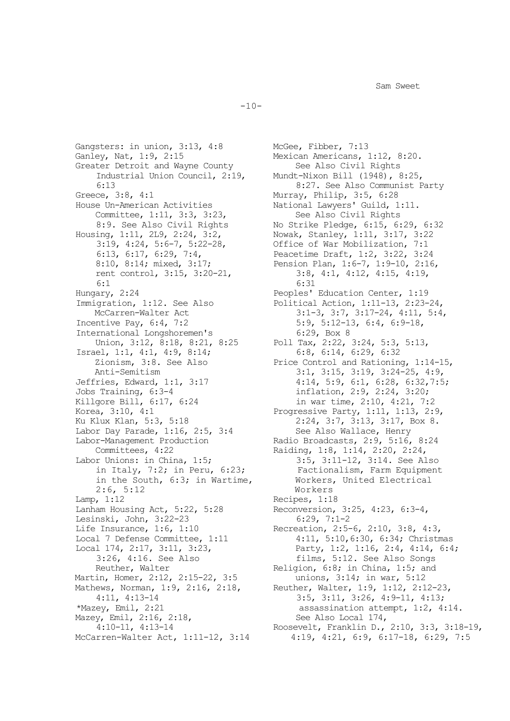$-10-$ 

Gangsters: in union, 3:13, 4:8 McGee, Fibber, 7:13<br>Ganlev, Nat, 1:9, 2:15 Mexican Americans, 3 Greater Detroit and Wayne County<br>Industrial Union Council, 2:19, Industrial Union Council, 2:19, Mundt-Nixon Bill (1948), 8:25,<br>6:13 8:27, See Also Communist F 6:13 8:27. See Also Communist Party<br>Greece, 3:8, 4:1 Murray, Philip, 3:5, 6:28 Greece, 3:8, 4:1 Murray, Philip, 3:5, 6:28<br>House Un-American Activities Mational Lawyers' Guild, 1 Committee, 1:11, 3:3, 3:23, 8:9. See Also Civil Rights 8:9. See Also Civil Rights No Strike Pledge, 6:15, 6:29, 6:32<br>Housing, 1:11, 2L9, 2:24, 3:2, Nowak, Stanley, 1:11, 3:17, 3:22  $3:19, 4:24, 5:6-7, 5:22-28,$ <br>6:13, 6:17, 6:29, 7:4, rent control, 3:15, 3:20-21, 3:8, 4:15, 3:20-21, 4:31 6:1 6:31 Hungary, 2:24<br>Immigration, 1:12. See Also Political Action, 1:11-13, 2:23-International Longshoremen's<br>Union, 3:12, 8:18, 8:21, 8:25 Israel, 1:1, 4:1, 4:9, 8:14;<br>Zionism, 3:8. See Also Anti-Semitism 3:1, 3:15, 3:19, 3:24-25, 4:9,<br>Jeffries, Edward, 1:1, 3:17 4:14, 5:9, 6:1, 6:28, 6:32,7:5 Jobs Training, 6:3-4<br>Killgore Bill, 6:17, 6:24<br>in war time, 2:10, 4:21, 7: Killgore Bill, 6:17, 6:24 in war time, 2:10, 4:21, 7:2<br>Korea, 3:10, 4:1 Progressive Party, 1:11, 1:13, 2: Korea, 3:10, 4:1 Progressive Party, 1:11, 1:13, 2:9,<br>
Ku Klux Klan, 5:3, 5:18 2:24, 3:7, 3:13, 3:17, Box 8. Labor Day Parade, 1:16, 2:5, 3:4<br>Labor-Management Production Committees, 4:22 Raiding, 1:8, 1:14, 2:20, 2:24,<br>Labor Unions: in China, 1:5; 3:5, 3:11-12, 3:14. See Al in the South, 6:3; in Wartime, Workers,<br>2:6, 5:12 Workers  $2:6$ ,  $5:12$ <br>Lamp,  $1:12$ Lamp, 1:12 Recipes, 1:18<br>Lanham Housing Act, 5:22, 5:28 Reconversion, Lesinski, John, 3:22-23<br>Life Insurance, 1:6, 1:10 Life Insurance, 1:6, 1:10<br>
Local 7 Defense Committee, 1:11 4:11, 5:10, 6:30, 6:34; Christn Martin, Homer, 2:12, 2:15-22, 3:5<br>Mathews, Norman, 1:9, 2:16, 2:18, 4:11, 4:13-14<br>
\*Mazey, Emil, 2:21<br>
\*Mazey, Emil, 2:21<br>  $\frac{3:5}{3:11}$ , 3:26, 4:9-11, 4:13; Mazey, Emil, 2:16, 2:18,<br>4:10-11, 4:13-14

Mexican Americans, 1:12, 8:20.<br>See Also Civil Rights National Lawyers' Guild, 1:11.<br>See Also Civil Rights Nowak, Stanley, 1:11, 3:17, 3:22<br>Office of War Mobilization, 7:1 6:13, 6:17, 6:29, 7:4,<br>8:10, 8:14; mixed, 3:17;<br>Pension Plan, 1:6-7, 1:9-10, 2:16 Pension Plan, 1:6-7, 1:9-10, 2:16,<br>3:8, 4:1, 4:12, 4:15, 4:19, Immigration, 1:12. See Also Political Action, 1:11-13, 2:23-24, McCarren-Walter Act 3:1-3, 3:7, 3:17-24, 4:11, 5:4,<br>Incentive Pay, 6:4, 7:2 5:9, 5:12-13, 6:4, 6:9-18, 5:9, 5:12-13, 6:4, 6:9-18,<br>6:29, Box 8 Poll Tax, 2:22, 3:24, 5:3, 5:13,<br>6:8, 6:14, 6:29, 6:32 Zionism, 3:8. See Also Price Control and Rationing, 1:14-15,<br>Anti-Semitism 3:1, 3:15, 3:19, 3:24-25, 4:9, Jeffries, Edward, 1:1, 3:17 4:14, 5:9, 6:1, 6:28, 6:32,7:5;<br>Jobs Training, 6:3-4 inflation, 2:9, 2:24, 3:20; 2:24, 3:7,  $3:13$ , 3:17, Box 8.<br>See Also Wallace, Henry or-Management Production<br>
Committees, 4:22 (Committees, 4:22)  $3:5$ ,  $3:11-12$ ,  $3:14$ . See Also<br>Factionalism, Farm Equipment in Italy, 7:2; in Peru, 6:23;<br>in the South, 6:3; in Wartime, Workers, United Electrical Reconversion, 3:25, 4:23, 6:3-4,<br>6:29, 7:1-2 Local 7 Defense Committee, 1:11 4:11, 5:10,6:30, 6:34; Christmas<br>
Local 174, 2:17, 3:11, 3:23, Party, 1:2, 1:16, 2:4, 4:14, 6:4 1 174, 2:17, 3:11, 3:23,<br>3:26, 4:16. See Also films, 5:12. See Also Songs 3:26, 4:16. See Also films, 5:12. See Also Songs<br>Reuther, Walter Religion, 6:8; in China, 1:5; and Religion, 6:8; in China, 1:5; and<br>unions,  $3:14$ ; in war,  $5:12$ news, Norman, 1:9, 2:16, 2:18,<br>4:11, 4:13-14<br>3:5, 3:11, 3:26, 4:9-11, 4:13;<br>3:11, 3:26, 4:9-11, 4:13; assassination attempt, 1:2, 4:14.<br>See Also Local 174, 4:10-11, 4:13-14<br>Roosevelt, Franklin D., 2:10, 3:3, 3:18-19,<br>McCarren-Walter Act, 1:11-12, 3:14<br>4:19, 4:21, 6:9, 6:17-18, 6:29, 7:5 4:19, 4:21, 6:9, 6:17-18, 6:29, 7:5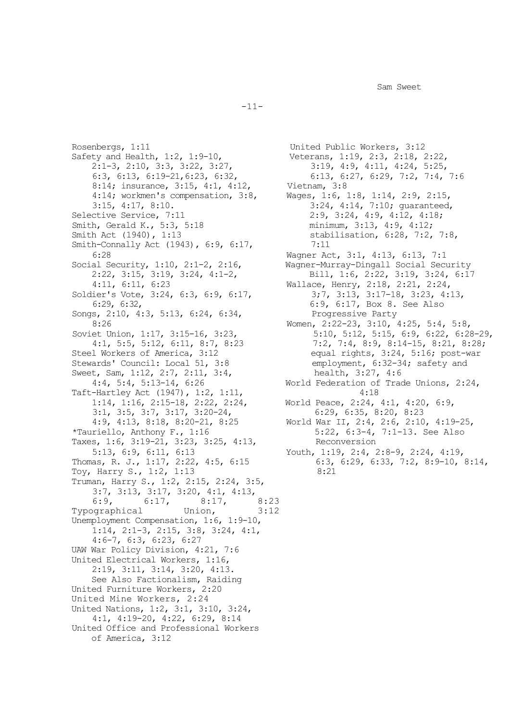-11-

Rosenbergs, 1:11 United Public Workers, 3:12<br>
Safety and Health, 1:2, 1:9-10, Veterans, 1:19, 2:3, 2:18, 2 2:1-3, 2:10, 3:3, 3:22, 3:27,<br>6:3, 6:13, 6:19-21, 6:23, 6:32, 8:14; insurance, 3:15, 4:1, 4:12, 4:14; workmen's compensation, 3:8, 4:14; workmen's compensation, 3:8, Wages, 1:6, 1:8, 1:14, 2:9, 2:15,<br>3:15, 4:17, 8:10. 3:24, 4:14, 7:10; quaranteed 3:15, 4:17, 8:10.<br>
Selective Service, 7:11 3:24, 4:14, 7:10; guaranteed, 3elective Service, 7:11 3:34, 4:9, 4:12, 4:18; Smith, Gerald K., 5:3, 5:18<br>Smith Act (1940), 1:13 Smith-Connally Act (1943), 6:9, 6:17,<br>6:28 6:28 Wagner Act, 3:1, 4:13, 6:13, 7:1<br>Social Security, 1:10, 2:1-2, 2:16, Wagner-Murray-Dingall Social Sec Soldier's Vote, 3:24, 6:3, 6:9, 6:17,<br>6:29, 6:32, Songs, 2:10, 4:3, 5:13, 6:24, 6:34, 8:26 8:26 Women, 2:22-23, 3:10, 4:25, 5:4, 5:8,<br>Soviet Union, 1:17, 3:15-16, 3:23, 5:10, 5:12, 5:12, 5:15, 6:9, 6:22, 6:28 Stewards' Council: Local 51, 3:8 employment, 6:32-3<br>Sweet, Sam, 1:12, 2:7, 2:11, 3:4, health, 3:27, 4:6 Sweet, Sam, 1:12, 2:7, 2:11, 3:4,<br>4:4, 5:4, 5:13-14, 6:26 Taft-Hartley Act (1947), 1:2, 1:11,<br>1:14, 1:16, 2:15-18, 2:22, 2:24, 3:1, 3:5, 3:7, 3:17, 3:20-24,<br>4:9, 4:13, 8:18, 8:20-21, 8:25 4:9, 4:13, 8:18, 8:20-21, 8:25 World War II, 2:4, 2:6, 2:10, 4:19-25,<br>
\*Tauriello, Anthony F., 1:16 5:22, 6:3-4, 7:1-13. See Also Taxes, 1:6, 3:19-21, 3:23, 3:25, 4:13,<br>5:13, 6:9, 6:11, 6:13 Thomas, R. J., 1:17, 2:22, 4:5, 6:15 6:3,<br>Toy, Harry S., 1:2, 1:13 8:21 Toy, Harry S., 1:2, 1:13 Truman, Harry S., 1:2, 2:15, 2:24, 3:5, 3:7, 3:13, 3:17, 3:20, 4:1, 4:13,<br>6:9, 6:17, 8:17, 8:23 6:17, 8:17, 8:23<br>Union, 3:12 Typographical Unemployment Compensation, 1:6, 1:9-10, 1:14, 2:1-3, 2:15, 3:8, 3:24, 4:1, 4:6-7, 6:3, 6:23, 6:27 UAW War Policy Division, 4:21, 7:6 United Electrical Workers, 1:16, 2:19, 3:11, 3:14, 3:20, 4:13. See Also Factionalism, Raiding United Furniture Workers, 2:20 United Mine Workers, 2:24 United Nations, 1:2, 3:1, 3:10, 3:24, 4:1, 4:19-20, 4:22, 6:29, 8:14 United Office and Professional Workers of America, 3:12

Veterans, 1:19, 2:3, 2:18, 2:22,<br>3:19, 4:9, 4:11, 4:24, 5:25, 6:13, 6:27, 6:29, 7:2, 7:4, 7:6<br>Vietnam, 3:8 2:9, 3:24, 4:9, 4:12, 4:18;<br>minimum, 3:13, 4:9, 4:12; stabilisation, 6:28, 7:2, 7:8,  $7:11$ al Security, 1:10, 2:1-2, 2:16,<br>2:22, 3:15, 3:19, 3:24, 4:1-2, Bill, 1:6, 2:22, 3:19, 3:24, 6:17 2:22, 3:15, 3:19, 3:24, 4:1-2,<br>4:11, 6:11, 6:23 Wallace, Henry, 2:18, 2:21, 2:24, Wallace, Henry, 2:18, 2:21, 2:24,<br>3;7, 3:13, 3:17-18, 3:23, 4:13, 6:9, 6:17, Box 8. See Also<br>Progressive Party et Union, 1:17, 3:15-16, 3:23, 5:10, 5:12, 5:15, 6:9, 6:22, 6:28-29,<br>3:1, 5:5, 5:12, 6:11, 8:7, 8:23 7:2, 7:4, 8:9, 8:14-15, 8:21, 8:28; 4:1, 5:5, 5:12, 6:11, 8:7, 8:23 7:2, 7:4, 8:9, 8:14-15, 8:21, 8:28;<br>Steel Workers of America, 3:12 equal rights, 3:24, 5:16; post-war equal rights, 3:24, 5:16; post-war<br>employment, 6:32-34; safety and World Federation of Trade Unions,  $2:24$ ,  $4:18$ World Peace, 2:24, 4:1, 4:20, 6:9,<br>6:29, 6:35, 8:20, 8:23 5:22, 6:3-4, 7:1-13. See Also<br>Reconversion Youth, 1:19, 2:4, 2:8-9, 2:24, 4:19,<br>6:3, 6:29, 6:33, 7:2, 8:9-10, 8:14,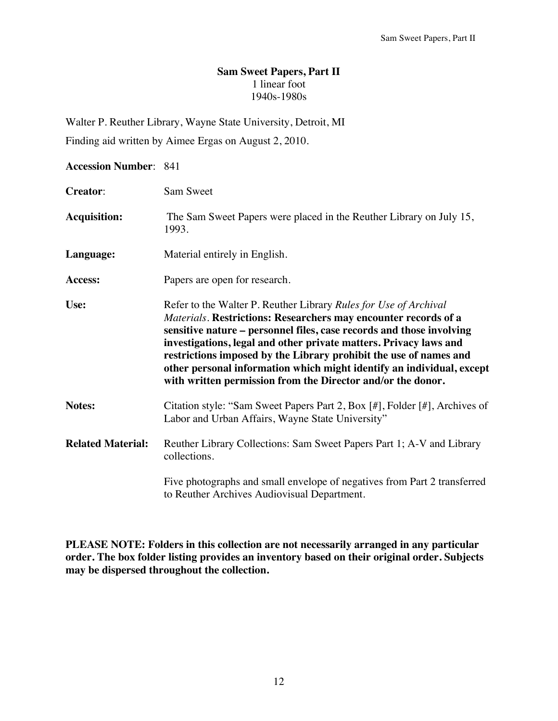# **Sam Sweet Papers, Part II**  1 linear foot 1940s-1980s

Walter P. Reuther Library, Wayne State University, Detroit, MI

Finding aid written by Aimee Ergas on August 2, 2010.

### **Accession Number**: 841

| <b>Creator:</b>          | Sam Sweet                                                                                                                                                                                                                                                                                                                                                                                                                                                                                     |
|--------------------------|-----------------------------------------------------------------------------------------------------------------------------------------------------------------------------------------------------------------------------------------------------------------------------------------------------------------------------------------------------------------------------------------------------------------------------------------------------------------------------------------------|
| <b>Acquisition:</b>      | The Sam Sweet Papers were placed in the Reuther Library on July 15,<br>1993.                                                                                                                                                                                                                                                                                                                                                                                                                  |
| Language:                | Material entirely in English.                                                                                                                                                                                                                                                                                                                                                                                                                                                                 |
| Access:                  | Papers are open for research.                                                                                                                                                                                                                                                                                                                                                                                                                                                                 |
| Use:                     | Refer to the Walter P. Reuther Library Rules for Use of Archival<br>Materials. Restrictions: Researchers may encounter records of a<br>sensitive nature - personnel files, case records and those involving<br>investigations, legal and other private matters. Privacy laws and<br>restrictions imposed by the Library prohibit the use of names and<br>other personal information which might identify an individual, except<br>with written permission from the Director and/or the donor. |
| Notes:                   | Citation style: "Sam Sweet Papers Part 2, Box [#], Folder [#], Archives of<br>Labor and Urban Affairs, Wayne State University"                                                                                                                                                                                                                                                                                                                                                                |
| <b>Related Material:</b> | Reuther Library Collections: Sam Sweet Papers Part 1; A-V and Library<br>collections.                                                                                                                                                                                                                                                                                                                                                                                                         |
|                          | Five photographs and small envelope of negatives from Part 2 transferred<br>to Reuther Archives Audiovisual Department.                                                                                                                                                                                                                                                                                                                                                                       |

**PLEASE NOTE: Folders in this collection are not necessarily arranged in any particular order. The box folder listing provides an inventory based on their original order. Subjects may be dispersed throughout the collection.**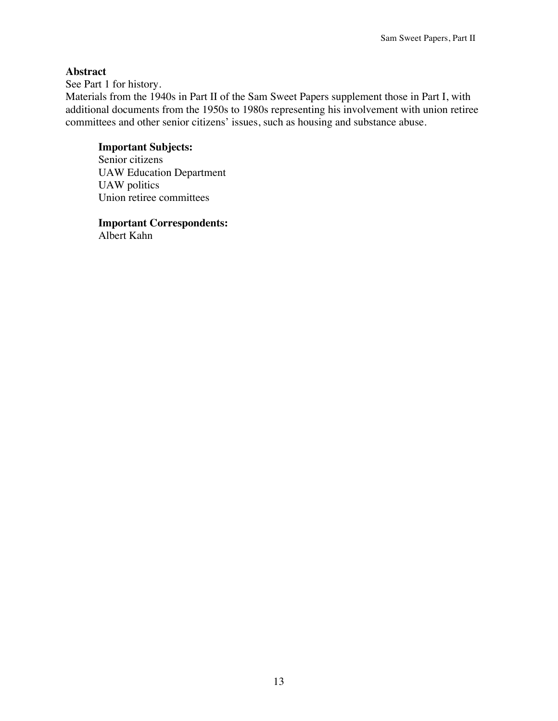## **Abstract**

See Part 1 for history.

Materials from the 1940s in Part II of the Sam Sweet Papers supplement those in Part I, with additional documents from the 1950s to 1980s representing his involvement with union retiree committees and other senior citizens' issues, such as housing and substance abuse.

## **Important Subjects:**

Senior citizens UAW Education Department UAW politics Union retiree committees

 **Important Correspondents:** 

Albert Kahn